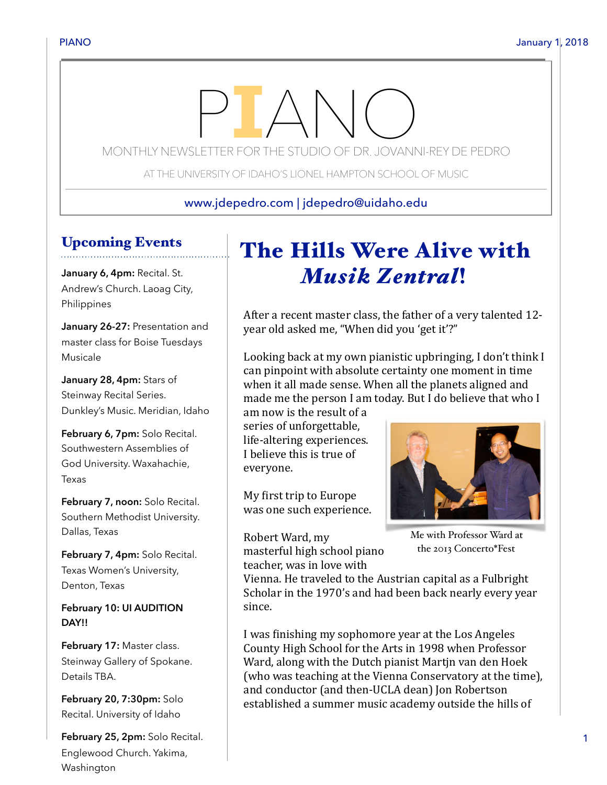# MONTHLY NEWSLETTER FOR THE STUDIO OF DR. JOVANNI-REY DE PEDRO

AT THE UNIVERSITY OF IDAHO'S LIONEL HAMPTON SCHOOL OF MUSIC

www.jdepedro.com | jdepedro@uidaho.edu

### Upcoming Events

**January 6, 4pm:** Recital. St. Andrew's Church. Laoag City, Philippines

**January 26-27:** Presentation and master class for Boise Tuesdays Musicale

**January 28, 4pm:** Stars of Steinway Recital Series. Dunkley's Music. Meridian, Idaho

**February 6, 7pm:** Solo Recital. Southwestern Assemblies of God University. Waxahachie, Texas

**February 7, noon:** Solo Recital. Southern Methodist University. Dallas, Texas

**February 7, 4pm:** Solo Recital. Texas Women's University, Denton, Texas

**February 10: UI AUDITION DAY!!** 

February 17: Master class. Steinway Gallery of Spokane. Details TBA.

**February 20, 7:30pm:** Solo Recital. University of Idaho

**February 25, 2pm:** Solo Recital. Englewood Church. Yakima, Washington

## The Hills Were Alive with *Musik Zentral*!

After a recent master class, the father of a very talented 12year old asked me, "When did you 'get it'?"

Looking back at my own pianistic upbringing, I don't think I can pinpoint with absolute certainty one moment in time when it all made sense. When all the planets aligned and made me the person I am today. But I do believe that who I

am now is the result of a series of unforgettable. life-altering experiences. I believe this is true of everyone. 

My first trip to Europe was one such experience.

Robert Ward, my masterful high school piano teacher, was in love with



Me with Professor Ward at the 2013 Concerto\*Fest

Vienna. He traveled to the Austrian capital as a Fulbright Scholar in the 1970's and had been back nearly every year since. 

I was finishing my sophomore year at the Los Angeles County High School for the Arts in 1998 when Professor Ward, along with the Dutch pianist Martin van den Hoek (who was teaching at the Vienna Conservatory at the time), and conductor (and then-UCLA dean) Ion Robertson established a summer music academy outside the hills of